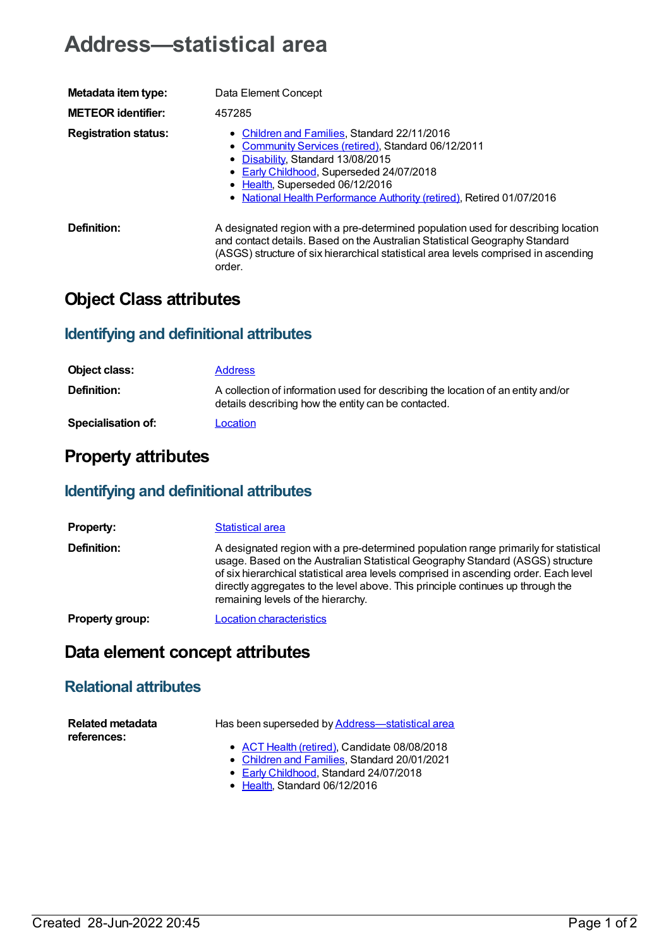# **Address—statistical area**

| Metadata item type:         | Data Element Concept                                                                                                                                                                                                                                                                           |
|-----------------------------|------------------------------------------------------------------------------------------------------------------------------------------------------------------------------------------------------------------------------------------------------------------------------------------------|
| <b>METEOR identifier:</b>   | 457285                                                                                                                                                                                                                                                                                         |
| <b>Registration status:</b> | • Children and Families, Standard 22/11/2016<br>• Community Services (retired), Standard 06/12/2011<br>Disability, Standard 13/08/2015<br>• Early Childhood, Superseded 24/07/2018<br>• Health, Superseded 06/12/2016<br>• National Health Performance Authority (retired), Retired 01/07/2016 |
| Definition:                 | A designated region with a pre-determined population used for describing location<br>and contact details. Based on the Australian Statistical Geography Standard<br>(ASGS) structure of six hierarchical statistical area levels comprised in ascending<br>order.                              |

## **Object Class attributes**

### **Identifying and definitional attributes**

| Object class:             | <b>Address</b>                                                                                                                          |
|---------------------------|-----------------------------------------------------------------------------------------------------------------------------------------|
| <b>Definition:</b>        | A collection of information used for describing the location of an entity and/or<br>details describing how the entity can be contacted. |
| <b>Specialisation of:</b> | Location                                                                                                                                |

# **Property attributes**

### **Identifying and definitional attributes**

| <b>Property:</b>       | Statistical area                                                                                                                                                                                                                                                                                                                                                                        |
|------------------------|-----------------------------------------------------------------------------------------------------------------------------------------------------------------------------------------------------------------------------------------------------------------------------------------------------------------------------------------------------------------------------------------|
| Definition:            | A designated region with a pre-determined population range primarily for statistical<br>usage. Based on the Australian Statistical Geography Standard (ASGS) structure<br>of six hierarchical statistical area levels comprised in ascending order. Each level<br>directly aggregates to the level above. This principle continues up through the<br>remaining levels of the hierarchy. |
| <b>Property group:</b> | <b>Location characteristics</b>                                                                                                                                                                                                                                                                                                                                                         |

# **Data element concept attributes**

#### **Relational attributes**

| <b>Related metadata</b> | Has been superseded by Address—statistical area                                              |
|-------------------------|----------------------------------------------------------------------------------------------|
| references:             | • ACT Health (retired), Candidate 08/08/2018<br>• Children and Families, Standard 20/01/2021 |

- 
- Early [Childhood](https://meteor.aihw.gov.au/RegistrationAuthority/13), Standard 24/07/2018
- [Health](https://meteor.aihw.gov.au/RegistrationAuthority/12), Standard 06/12/2016